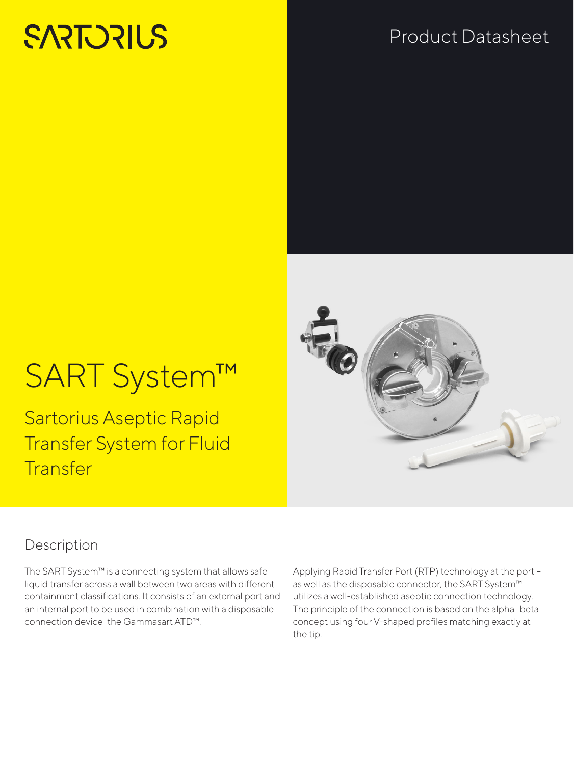# **SARTORIUS**

## Product Datasheet



# SART System™

Sartorius Aseptic Rapid Transfer System for Fluid **Transfer** 

### Description

The SART System™ is a connecting system that allows safe liquid transfer across a wall between two areas with different containment classifications. It consists of an external port and an internal port to be used in combination with a disposable connection device–the Gammasart ATD™.

Applying Rapid Transfer Port (RTP) technology at the port – as well as the disposable connector, the SART System™ utilizes a well-established aseptic connection technology. The principle of the connection is based on the alpha | beta concept using four V-shaped profiles matching exactly at the tip.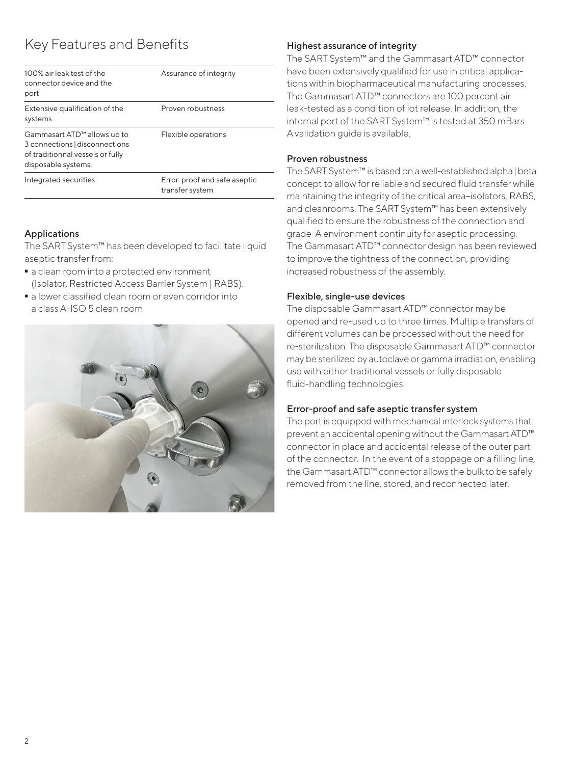### Key Features and Benefits

| 100% air leak test of the<br>connector device and the<br>port                                                          | Assurance of integrity                          |
|------------------------------------------------------------------------------------------------------------------------|-------------------------------------------------|
| Extensive qualification of the<br>systems                                                                              | Proven robustness                               |
| Gammasart ATD™ allows up to<br>3 connections disconnections<br>of traditionnal vessels or fully<br>disposable systems. | Flexible operations                             |
| Integrated securities                                                                                                  | Error-proof and safe aseptic<br>transfer system |

### Applications

The SART System™ has been developed to facilitate liquid aseptic transfer from:

- $\blacksquare$  a clean room into a protected environment (Isolator, Restricted Access Barrier System | RABS).
- a lower classified clean room or even corridor into a class A-ISO 5 clean room



### Highest assurance of integrity

The SART System™ and the Gammasart ATD™ connector have been extensively qualified for use in critical applications within biopharmaceutical manufacturing processes. The Gammasart ATD™ connectors are 100 percent air leak-tested as a condition of lot release. In addition, the internal port of the SART System™ is tested at 350 mBars. A validation guide is available.

### Proven robustness

The SART System™ is based on a well-established alpha|beta concept to allow for reliable and secured fluid transfer while maintaining the integrity of the critical area–isolators, RABS, and cleanrooms. The SART System™ has been extensively qualified to ensure the robustness of the connection and grade-A environment continuity for aseptic processing. The Gammasart ATD™ connector design has been reviewed to improve the tightness of the connection, providing increased robustness of the assembly.

### Flexible, single-use devices

The disposable Gammasart ATD™ connector may be opened and re-used up to three times. Multiple transfers of different volumes can be processed without the need for re-sterilization. The disposable Gammasart ATD™ connector may be sterilized by autoclave or gamma irradiation, enabling use with either traditional vessels or fully disposable fluid-handling technologies.

### Error-proof and safe aseptic transfer system

The port is equipped with mechanical interlock systems that prevent an accidental opening without the Gammasart ATD™ connector in place and accidental release of the outer part of the connector. In the event of a stoppage on a filling line, the Gammasart ATD™ connector allows the bulk to be safely removed from the line, stored, and reconnected later.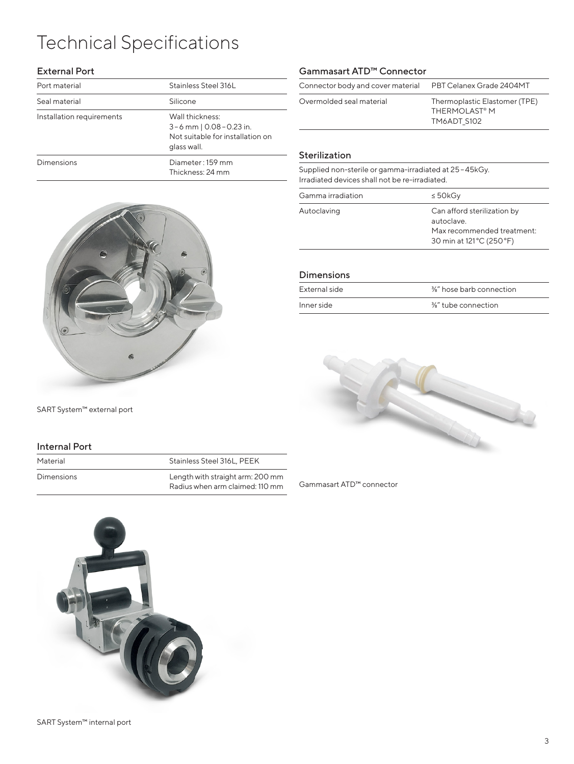# Technical Specifications

### External Port

| Port material             | Stainless Steel 316L                                                                             |
|---------------------------|--------------------------------------------------------------------------------------------------|
| Seal material             | Silicone                                                                                         |
| Installation requirements | Wall thickness:<br>3 – 6 mm   0.08 – 0.23 in.<br>Not suitable for installation on<br>glass wall. |
| Dimensions                | Diameter: 159 mm<br>Thickness: 24 mm                                                             |



SART System™ external port

#### Internal Port

Material Material Stainless Steel 316L, PEEK

Dimensions Length with straight arm: 200 mm Radius when arm claimed: 110 mm



| Overmolded seal material |                                                                            |
|--------------------------|----------------------------------------------------------------------------|
|                          | Thermoplastic Elastomer (TPE)<br>THERMOI AST <sup>®</sup> M<br>TM6ADT S102 |

#### Sterilization

Supplied non-sterile or gamma-irradiated at 25–45kGy. Irradiated devices shall not be re-irradiated.

| Gamma irradiation | $\leq$ 50kGy                                                                                         |
|-------------------|------------------------------------------------------------------------------------------------------|
| Autoclaving       | Can afford sterilization by<br>autoclave.<br>Max recommended treatment:<br>30 min at 121 °C (250 °F) |

#### Dimensions

| External side | %" hose barb connection         |
|---------------|---------------------------------|
| Inner side    | $\frac{3}{8}$ " tube connection |



Gammasart ATD™ connector